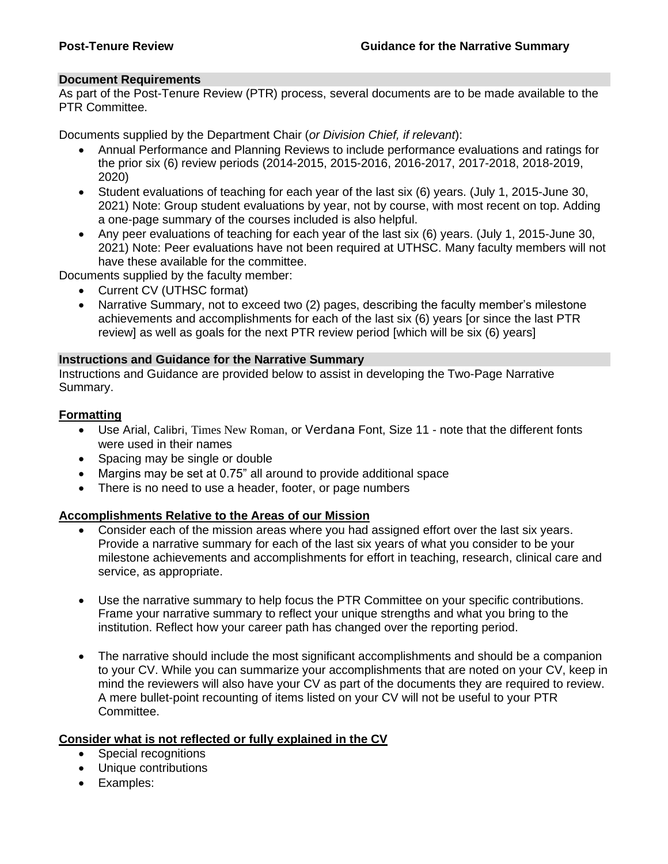#### **Document Requirements**

As part of the Post-Tenure Review (PTR) process, several documents are to be made available to the PTR Committee.

Documents supplied by the Department Chair (*or Division Chief, if relevant*):

- Annual Performance and Planning Reviews to include performance evaluations and ratings for the prior six (6) review periods (2014-2015, 2015-2016, 2016-2017, 2017-2018, 2018-2019, 2020)
- Student evaluations of teaching for each year of the last six (6) years. (July 1, 2015-June 30, 2021) Note: Group student evaluations by year, not by course, with most recent on top. Adding a one-page summary of the courses included is also helpful.
- Any peer evaluations of teaching for each year of the last six (6) years. (July 1, 2015-June 30, 2021) Note: Peer evaluations have not been required at UTHSC. Many faculty members will not have these available for the committee.

Documents supplied by the faculty member:

- Current CV (UTHSC format)
- Narrative Summary, not to exceed two (2) pages, describing the faculty member's milestone achievements and accomplishments for each of the last six (6) years [or since the last PTR review] as well as goals for the next PTR review period [which will be six (6) years]

#### **Instructions and Guidance for the Narrative Summary**

Instructions and Guidance are provided below to assist in developing the Two-Page Narrative Summary.

#### **Formatting**

- Use Arial, Calibri, Times New Roman, or Verdana Font, Size 11 note that the different fonts were used in their names
- Spacing may be single or double
- Margins may be set at 0.75" all around to provide additional space
- There is no need to use a header, footer, or page numbers

#### **Accomplishments Relative to the Areas of our Mission**

- Consider each of the mission areas where you had assigned effort over the last six years. Provide a narrative summary for each of the last six years of what you consider to be your milestone achievements and accomplishments for effort in teaching, research, clinical care and service, as appropriate.
- Use the narrative summary to help focus the PTR Committee on your specific contributions. Frame your narrative summary to reflect your unique strengths and what you bring to the institution. Reflect how your career path has changed over the reporting period.
- The narrative should include the most significant accomplishments and should be a companion to your CV. While you can summarize your accomplishments that are noted on your CV, keep in mind the reviewers will also have your CV as part of the documents they are required to review. A mere bullet-point recounting of items listed on your CV will not be useful to your PTR Committee.

# **Consider what is not reflected or fully explained in the CV**

- Special recognitions
- Unique contributions
- Examples: